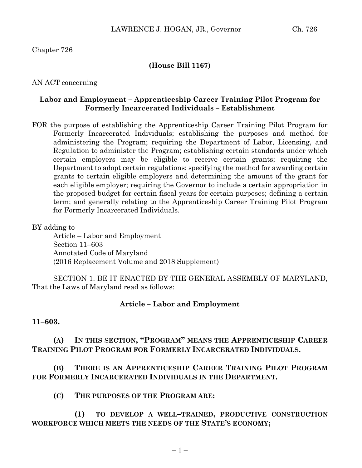Chapter 726

## **(House Bill 1167)**

AN ACT concerning

## **Labor and Employment – Apprenticeship Career Training Pilot Program for Formerly Incarcerated Individuals – Establishment**

FOR the purpose of establishing the Apprenticeship Career Training Pilot Program for Formerly Incarcerated Individuals; establishing the purposes and method for administering the Program; requiring the Department of Labor, Licensing, and Regulation to administer the Program; establishing certain standards under which certain employers may be eligible to receive certain grants; requiring the Department to adopt certain regulations; specifying the method for awarding certain grants to certain eligible employers and determining the amount of the grant for each eligible employer; requiring the Governor to include a certain appropriation in the proposed budget for certain fiscal years for certain purposes; defining a certain term; and generally relating to the Apprenticeship Career Training Pilot Program for Formerly Incarcerated Individuals.

BY adding to

Article – Labor and Employment Section 11–603 Annotated Code of Maryland (2016 Replacement Volume and 2018 Supplement)

SECTION 1. BE IT ENACTED BY THE GENERAL ASSEMBLY OF MARYLAND, That the Laws of Maryland read as follows:

#### **Article – Labor and Employment**

#### **11–603.**

# **(A) IN THIS SECTION, "PROGRAM" MEANS THE APPRENTICESHIP CAREER TRAINING PILOT PROGRAM FOR FORMERLY INCARCERATED INDIVIDUALS.**

**(B) THERE IS AN APPRENTICESHIP CAREER TRAINING PILOT PROGRAM FOR FORMERLY INCARCERATED INDIVIDUALS IN THE DEPARTMENT.**

**(C) THE PURPOSES OF THE PROGRAM ARE:**

**(1) TO DEVELOP A WELL–TRAINED, PRODUCTIVE CONSTRUCTION WORKFORCE WHICH MEETS THE NEEDS OF THE STATE'S ECONOMY;**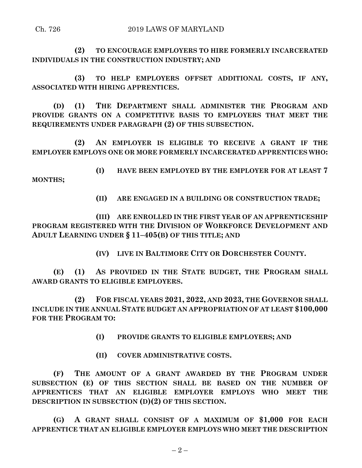## Ch. 726 2019 LAWS OF MARYLAND

**(2) TO ENCOURAGE EMPLOYERS TO HIRE FORMERLY INCARCERATED INDIVIDUALS IN THE CONSTRUCTION INDUSTRY; AND**

**(3) TO HELP EMPLOYERS OFFSET ADDITIONAL COSTS, IF ANY, ASSOCIATED WITH HIRING APPRENTICES.**

**(D) (1) THE DEPARTMENT SHALL ADMINISTER THE PROGRAM AND PROVIDE GRANTS ON A COMPETITIVE BASIS TO EMPLOYERS THAT MEET THE REQUIREMENTS UNDER PARAGRAPH (2) OF THIS SUBSECTION.**

**(2) AN EMPLOYER IS ELIGIBLE TO RECEIVE A GRANT IF THE EMPLOYER EMPLOYS ONE OR MORE FORMERLY INCARCERATED APPRENTICES WHO:**

**(I) HAVE BEEN EMPLOYED BY THE EMPLOYER FOR AT LEAST 7 MONTHS;**

**(II) ARE ENGAGED IN A BUILDING OR CONSTRUCTION TRADE;**

**(III) ARE ENROLLED IN THE FIRST YEAR OF AN APPRENTICESHIP PROGRAM REGISTERED WITH THE DIVISION OF WORKFORCE DEVELOPMENT AND ADULT LEARNING UNDER § 11–405(B) OF THIS TITLE; AND**

**(IV) LIVE IN BALTIMORE CITY OR DORCHESTER COUNTY.**

**(E) (1) AS PROVIDED IN THE STATE BUDGET, THE PROGRAM SHALL AWARD GRANTS TO ELIGIBLE EMPLOYERS.**

**(2) FOR FISCAL YEARS 2021, 2022, AND 2023, THE GOVERNOR SHALL INCLUDE IN THE ANNUAL STATE BUDGET AN APPROPRIATION OF AT LEAST \$100,000 FOR THE PROGRAM TO:**

**(I) PROVIDE GRANTS TO ELIGIBLE EMPLOYERS; AND**

**(II) COVER ADMINISTRATIVE COSTS.**

**(F) THE AMOUNT OF A GRANT AWARDED BY THE PROGRAM UNDER SUBSECTION (E) OF THIS SECTION SHALL BE BASED ON THE NUMBER OF APPRENTICES THAT AN ELIGIBLE EMPLOYER EMPLOYS WHO MEET THE DESCRIPTION IN SUBSECTION (D)(2) OF THIS SECTION.**

**(G) A GRANT SHALL CONSIST OF A MAXIMUM OF \$1,000 FOR EACH APPRENTICE THAT AN ELIGIBLE EMPLOYER EMPLOYS WHO MEET THE DESCRIPTION**